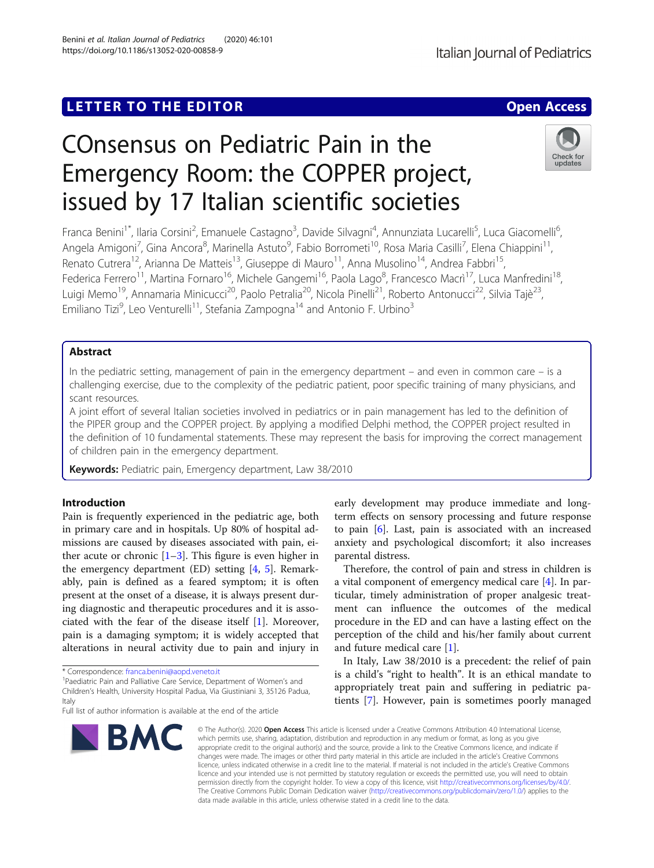## **LETTER TO THE EDITOR CONSIDERING ACCESS**

# COnsensus on Pediatric Pain in the Emergency Room: the COPPER project, issued by 17 Italian scientific societies

Franca Benini<sup>1\*</sup>, Ilaria Corsini<sup>2</sup>, Emanuele Castagno<sup>3</sup>, Davide Silvagni<sup>4</sup>, Annunziata Lucarelli<sup>5</sup>, Luca Giacomelli<sup>6</sup> י<br>, Angela Amigoni<sup>7</sup>, Gina Ancora<sup>8</sup>, Marinella Astuto<sup>9</sup>, Fabio Borrometi<sup>10</sup>, Rosa Maria Casilli<sup>7</sup>, Elena Chiappini<sup>11</sup>, Renato Cutrera<sup>12</sup>, Arianna De Matteis<sup>13</sup>, Giuseppe di Mauro<sup>11</sup>, Anna Musolino<sup>14</sup>, Andrea Fabbri<sup>15</sup>, Federica Ferrero<sup>11</sup>, Martina Fornaro<sup>16</sup>, Michele Gangemi<sup>16</sup>, Paola Lago<sup>8</sup>, Francesco Macrì<sup>17</sup>, Luca Manfredini<sup>18</sup>, Luigi Memo<sup>19</sup>, Annamaria Minicucci<sup>20</sup>, Paolo Petralia<sup>20</sup>, Nicola Pinelli<sup>21</sup>, Roberto Antonucci<sup>22</sup>, Silvia Tajè<sup>23</sup>, Emiliano Tizi<sup>9</sup>, Leo Venturelli<sup>11</sup>, Stefania Zampogna<sup>14</sup> and Antonio F. Urbino<sup>3</sup>

### Abstract

In the pediatric setting, management of pain in the emergency department – and even in common care – is a challenging exercise, due to the complexity of the pediatric patient, poor specific training of many physicians, and scant resources.

A joint effort of several Italian societies involved in pediatrics or in pain management has led to the definition of the PIPER group and the COPPER project. By applying a modified Delphi method, the COPPER project resulted in the definition of 10 fundamental statements. These may represent the basis for improving the correct management of children pain in the emergency department.

Keywords: Pediatric pain, Emergency department, Law 38/2010

#### Introduction

Pain is frequently experienced in the pediatric age, both in primary care and in hospitals. Up 80% of hospital admissions are caused by diseases associated with pain, either acute or chronic  $[1-3]$  $[1-3]$  $[1-3]$ . This figure is even higher in the emergency department  $(ED)$  setting  $[4, 5]$  $[4, 5]$  $[4, 5]$  $[4, 5]$ . Remarkably, pain is defined as a feared symptom; it is often present at the onset of a disease, it is always present during diagnostic and therapeutic procedures and it is associated with the fear of the disease itself [[1\]](#page-2-0). Moreover, pain is a damaging symptom; it is widely accepted that alterations in neural activity due to pain and injury in

\* Correspondence: [franca.benini@aopd.veneto.it](mailto:franca.benini@aopd.veneto.it) <sup>1</sup>

<sup>1</sup>Paediatric Pain and Palliative Care Service, Department of Women's and Children's Health, University Hospital Padua, Via Giustiniani 3, 35126 Padua, Italy

early development may produce immediate and longterm effects on sensory processing and future response to pain [[6\]](#page-2-0). Last, pain is associated with an increased anxiety and psychological discomfort; it also increases parental distress.

Therefore, the control of pain and stress in children is a vital component of emergency medical care [[4\]](#page-2-0). In particular, timely administration of proper analgesic treatment can influence the outcomes of the medical procedure in the ED and can have a lasting effect on the perception of the child and his/her family about current and future medical care [[1\]](#page-2-0).

In Italy, Law 38/2010 is a precedent: the relief of pain is a child's "right to health". It is an ethical mandate to appropriately treat pain and suffering in pediatric patients [[7](#page-2-0)]. However, pain is sometimes poorly managed

© The Author(s), 2020 **Open Access** This article is licensed under a Creative Commons Attribution 4.0 International License, which permits use, sharing, adaptation, distribution and reproduction in any medium or format, as long as you give appropriate credit to the original author(s) and the source, provide a link to the Creative Commons licence, and indicate if changes were made. The images or other third party material in this article are included in the article's Creative Commons licence, unless indicated otherwise in a credit line to the material. If material is not included in the article's Creative Commons licence and your intended use is not permitted by statutory regulation or exceeds the permitted use, you will need to obtain permission directly from the copyright holder. To view a copy of this licence, visit [http://creativecommons.org/licenses/by/4.0/.](http://creativecommons.org/licenses/by/4.0/) The Creative Commons Public Domain Dedication waiver [\(http://creativecommons.org/publicdomain/zero/1.0/](http://creativecommons.org/publicdomain/zero/1.0/)) applies to the data made available in this article, unless otherwise stated in a credit line to the data.

Benini et al. Italian Journal of Pediatrics (2020) 46:101 https://doi.org/10.1186/s13052-020-00858-9







Full list of author information is available at the end of the article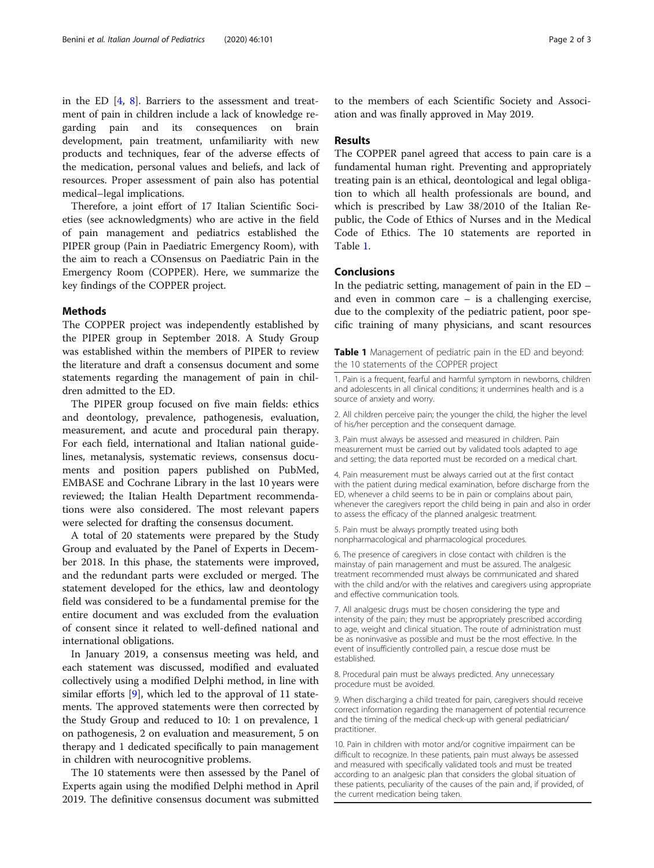in the ED  $[4, 8]$  $[4, 8]$  $[4, 8]$  $[4, 8]$  $[4, 8]$ . Barriers to the assessment and treatment of pain in children include a lack of knowledge regarding pain and its consequences on brain development, pain treatment, unfamiliarity with new products and techniques, fear of the adverse effects of the medication, personal values and beliefs, and lack of resources. Proper assessment of pain also has potential medical–legal implications.

Therefore, a joint effort of 17 Italian Scientific Societies (see acknowledgments) who are active in the field of pain management and pediatrics established the PIPER group (Pain in Paediatric Emergency Room), with the aim to reach a COnsensus on Paediatric Pain in the Emergency Room (COPPER). Here, we summarize the key findings of the COPPER project.

#### Methods

The COPPER project was independently established by the PIPER group in September 2018. A Study Group was established within the members of PIPER to review the literature and draft a consensus document and some statements regarding the management of pain in children admitted to the ED.

The PIPER group focused on five main fields: ethics and deontology, prevalence, pathogenesis, evaluation, measurement, and acute and procedural pain therapy. For each field, international and Italian national guidelines, metanalysis, systematic reviews, consensus documents and position papers published on PubMed, EMBASE and Cochrane Library in the last 10 years were reviewed; the Italian Health Department recommendations were also considered. The most relevant papers were selected for drafting the consensus document.

A total of 20 statements were prepared by the Study Group and evaluated by the Panel of Experts in December 2018. In this phase, the statements were improved, and the redundant parts were excluded or merged. The statement developed for the ethics, law and deontology field was considered to be a fundamental premise for the entire document and was excluded from the evaluation of consent since it related to well-defined national and international obligations.

In January 2019, a consensus meeting was held, and each statement was discussed, modified and evaluated collectively using a modified Delphi method, in line with similar efforts [\[9](#page-2-0)], which led to the approval of 11 statements. The approved statements were then corrected by the Study Group and reduced to 10: 1 on prevalence, 1 on pathogenesis, 2 on evaluation and measurement, 5 on therapy and 1 dedicated specifically to pain management in children with neurocognitive problems.

The 10 statements were then assessed by the Panel of Experts again using the modified Delphi method in April 2019. The definitive consensus document was submitted

to the members of each Scientific Society and Association and was finally approved in May 2019.

#### Results

The COPPER panel agreed that access to pain care is a fundamental human right. Preventing and appropriately treating pain is an ethical, deontological and legal obligation to which all health professionals are bound, and which is prescribed by Law 38/2010 of the Italian Republic, the Code of Ethics of Nurses and in the Medical Code of Ethics. The 10 statements are reported in Table 1.

#### Conclusions

In the pediatric setting, management of pain in the ED – and even in common care – is a challenging exercise, due to the complexity of the pediatric patient, poor specific training of many physicians, and scant resources

Table 1 Management of pediatric pain in the ED and beyond: the 10 statements of the COPPER project

1. Pain is a frequent, fearful and harmful symptom in newborns, children and adolescents in all clinical conditions; it undermines health and is a source of anxiety and worry.

2. All children perceive pain; the younger the child, the higher the level of his/her perception and the consequent damage.

3. Pain must always be assessed and measured in children. Pain measurement must be carried out by validated tools adapted to age and setting; the data reported must be recorded on a medical chart.

4. Pain measurement must be always carried out at the first contact with the patient during medical examination, before discharge from the ED, whenever a child seems to be in pain or complains about pain, whenever the caregivers report the child being in pain and also in order to assess the efficacy of the planned analgesic treatment.

5. Pain must be always promptly treated using both nonpharmacological and pharmacological procedures.

6. The presence of caregivers in close contact with children is the mainstay of pain management and must be assured. The analgesic treatment recommended must always be communicated and shared with the child and/or with the relatives and caregivers using appropriate and effective communication tools.

7. All analgesic drugs must be chosen considering the type and intensity of the pain; they must be appropriately prescribed according to age, weight and clinical situation. The route of administration must be as noninvasive as possible and must be the most effective. In the event of insufficiently controlled pain, a rescue dose must be established.

8. Procedural pain must be always predicted. Any unnecessary procedure must be avoided.

9. When discharging a child treated for pain, caregivers should receive correct information regarding the management of potential recurrence and the timing of the medical check-up with general pediatrician/ practitioner.

10. Pain in children with motor and/or cognitive impairment can be difficult to recognize. In these patients, pain must always be assessed and measured with specifically validated tools and must be treated according to an analgesic plan that considers the global situation of these patients, peculiarity of the causes of the pain and, if provided, of the current medication being taken.